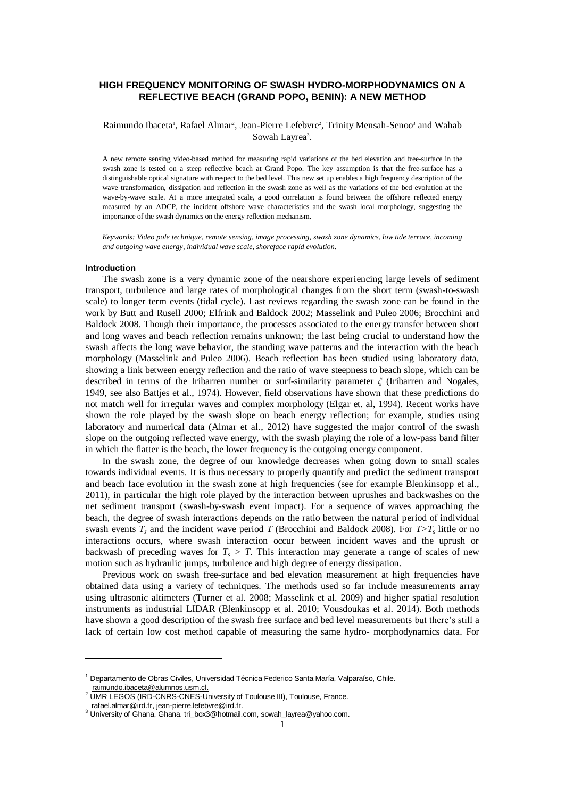# **HIGH FREQUENCY MONITORING OF SWASH HYDRO-MORPHODYNAMICS ON A REFLECTIVE BEACH (GRAND POPO, BENIN): A NEW METHOD**

# Raimundo Ibaceta<sup>1</sup>, Rafael Almar<sup>2</sup>, Jean-Pierre Lefebvre<sup>2</sup>, Trinity Mensah-Senoo<sup>3</sup> and Wahab Sowah Layrea<sup>3</sup>.

A new remote sensing video-based method for measuring rapid variations of the bed elevation and free-surface in the swash zone is tested on a steep reflective beach at Grand Popo. The key assumption is that the free-surface has a distinguishable optical signature with respect to the bed level. This new set up enables a high frequency description of the wave transformation, dissipation and reflection in the swash zone as well as the variations of the bed evolution at the wave-by-wave scale. At a more integrated scale, a good correlation is found between the offshore reflected energy measured by an ADCP, the incident offshore wave characteristics and the swash local morphology, suggesting the importance of the swash dynamics on the energy reflection mechanism.

*Keywords: Video pole technique, remote sensing, image processing, swash zone dynamics, low tide terrace, incoming and outgoing wave energy, individual wave scale, shoreface rapid evolution.*

#### **Introduction**

-

The swash zone is a very dynamic zone of the nearshore experiencing large levels of sediment transport, turbulence and large rates of morphological changes from the short term (swash-to-swash scale) to longer term events (tidal cycle). Last reviews regarding the swash zone can be found in the work by Butt and Rusell 2000; Elfrink and Baldock 2002; Masselink and Puleo 2006; Brocchini and Baldock 2008. Though their importance, the processes associated to the energy transfer between short and long waves and beach reflection remains unknown; the last being crucial to understand how the swash affects the long wave behavior, the standing wave patterns and the interaction with the beach morphology (Masselink and Puleo 2006). Beach reflection has been studied using laboratory data, showing a link between energy reflection and the ratio of wave steepness to beach slope, which can be described in terms of the Iribarren number or surf-similarity parameter *ξ* (Iribarren and Nogales, 1949, see also Battjes et al., 1974). However, field observations have shown that these predictions do not match well for irregular waves and complex morphology (Elgar et. al, 1994). Recent works have shown the role played by the swash slope on beach energy reflection; for example, studies using laboratory and numerical data (Almar et al., 2012) have suggested the major control of the swash slope on the outgoing reflected wave energy, with the swash playing the role of a low-pass band filter in which the flatter is the beach, the lower frequency is the outgoing energy component.

In the swash zone, the degree of our knowledge decreases when going down to small scales towards individual events. It is thus necessary to properly quantify and predict the sediment transport and beach face evolution in the swash zone at high frequencies (see for example Blenkinsopp et al., 2011), in particular the high role played by the interaction between uprushes and backwashes on the net sediment transport (swash-by-swash event impact). For a sequence of waves approaching the beach, the degree of swash interactions depends on the ratio between the natural period of individual swash events  $T_s$  and the incident wave period  $T$  (Brocchini and Baldock 2008). For  $T>T_s$  little or no interactions occurs, where swash interaction occur between incident waves and the uprush or backwash of preceding waves for  $T_s > T$ . This interaction may generate a range of scales of new motion such as hydraulic jumps, turbulence and high degree of energy dissipation.

Previous work on swash free-surface and bed elevation measurement at high frequencies have obtained data using a variety of techniques. The methods used so far include measurements array using ultrasonic altimeters (Turner et al. 2008; Masselink et al. 2009) and higher spatial resolution instruments as industrial LIDAR (Blenkinsopp et al. 2010; Vousdoukas et al. 2014). Both methods have shown a good description of the swash free surface and bed level measurements but there's still a lack of certain low cost method capable of measuring the same hydro- morphodynamics data. For

<sup>1</sup> Departamento de Obras Civiles, Universidad Técnica Federico Santa María, Valparaíso, Chile. raimundo.ibaceta@alumnos.usm.cl.

<sup>&</sup>lt;sup>2</sup> UMR LEGOS (IRD-CNRS-CNES-University of Toulouse III), Toulouse, France. [rafael.almar@ird.fr,](mailto:rafael.almar@ird.fr) jean-pierre.lefebvre@ird.fr.

<sup>&</sup>lt;sup>3</sup> University of Ghana, Ghana. [tri\\_box3@hotmail.com,](mailto:tri_box3@hotmail.com) sowah\_layrea@yahoo.com.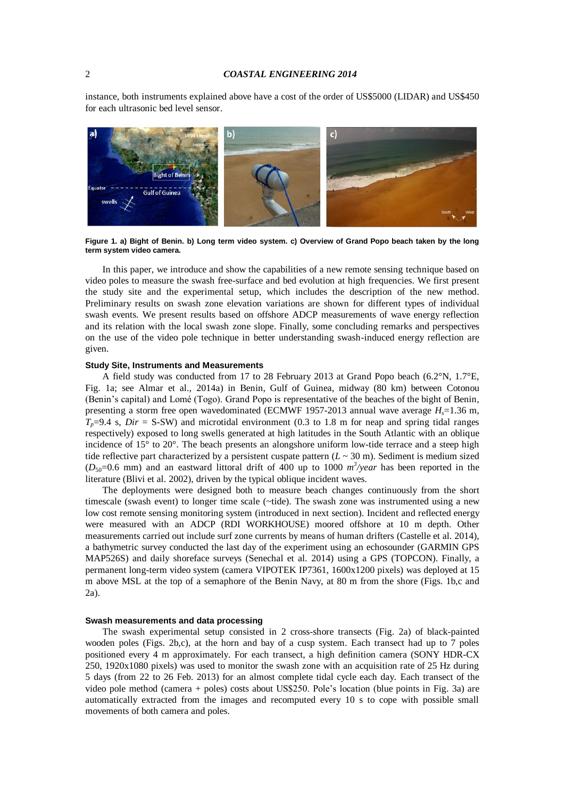instance, both instruments explained above have a cost of the order of US\$5000 (LIDAR) and US\$450 for each ultrasonic bed level sensor.



**Figure 1. a) Bight of Benin. b) Long term video system. c) Overview of Grand Popo beach taken by the long term system video camera.**

In this paper, we introduce and show the capabilities of a new remote sensing technique based on video poles to measure the swash free-surface and bed evolution at high frequencies. We first present the study site and the experimental setup, which includes the description of the new method. Preliminary results on swash zone elevation variations are shown for different types of individual swash events. We present results based on offshore ADCP measurements of wave energy reflection and its relation with the local swash zone slope. Finally, some concluding remarks and perspectives on the use of the video pole technique in better understanding swash-induced energy reflection are given.

#### **Study Site, Instruments and Measurements**

A field study was conducted from 17 to 28 February 2013 at Grand Popo beach (6.2°N, 1.7°E, Fig. 1a; see Almar et al., 2014a) in Benin, Gulf of Guinea, midway (80 km) between Cotonou (Benin's capital) and Lomé (Togo). Grand Popo is representative of the beaches of the bight of Benin, presenting a storm free open wavedominated (ECMWF 1957-2013 annual wave average *Hs*=1.36 m,  $T_p=9.4$  s, *Dir* = S-SW) and microtidal environment (0.3 to 1.8 m for neap and spring tidal ranges respectively) exposed to long swells generated at high latitudes in the South Atlantic with an oblique incidence of 15° to 20°. The beach presents an alongshore uniform low-tide terrace and a steep high tide reflective part characterized by a persistent cuspate pattern  $(L \sim 30 \text{ m})$ . Sediment is medium sized ( $D_{50}$ =0.6 mm) and an eastward littoral drift of 400 up to 1000  $m^3$ /year has been reported in the literature (Blivi et al. 2002), driven by the typical oblique incident waves.

The deployments were designed both to measure beach changes continuously from the short timescale (swash event) to longer time scale (~tide). The swash zone was instrumented using a new low cost remote sensing monitoring system (introduced in next section). Incident and reflected energy were measured with an ADCP (RDI WORKHOUSE) moored offshore at 10 m depth. Other measurements carried out include surf zone currents by means of human drifters (Castelle et al. 2014), a bathymetric survey conducted the last day of the experiment using an echosounder (GARMIN GPS MAP526S) and daily shoreface surveys (Senechal et al. 2014) using a GPS (TOPCON). Finally, a permanent long-term video system (camera VIPOTEK IP7361, 1600x1200 pixels) was deployed at 15 m above MSL at the top of a semaphore of the Benin Navy, at 80 m from the shore (Figs. 1b,c and 2a).

# **Swash measurements and data processing**

The swash experimental setup consisted in 2 cross-shore transects (Fig. 2a) of black-painted wooden poles (Figs. 2b,c), at the horn and bay of a cusp system. Each transect had up to 7 poles positioned every 4 m approximately. For each transect, a high definition camera (SONY HDR-CX 250, 1920x1080 pixels) was used to monitor the swash zone with an acquisition rate of 25 Hz during 5 days (from 22 to 26 Feb. 2013) for an almost complete tidal cycle each day. Each transect of the video pole method (camera + poles) costs about US\$250. Pole's location (blue points in Fig. 3a) are automatically extracted from the images and recomputed every 10 s to cope with possible small movements of both camera and poles.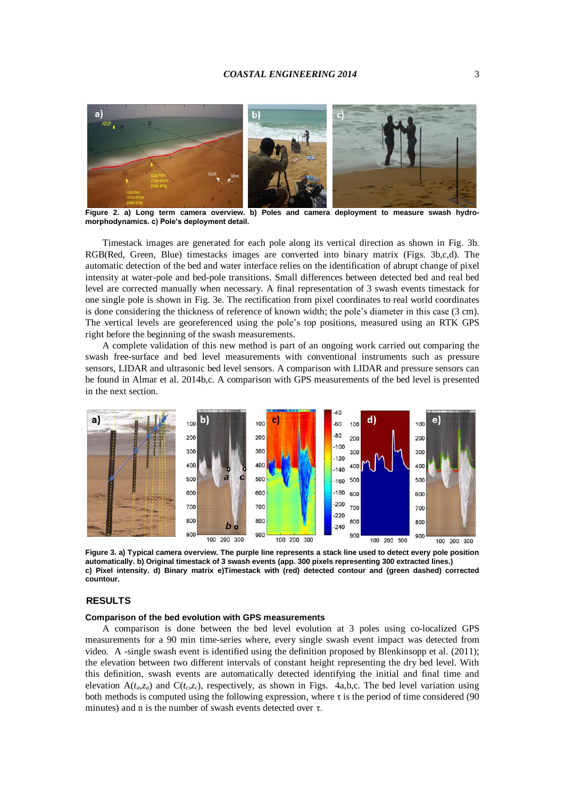# *COASTAL ENGINEERING 2014* 3



**Figure 2. a) Long term camera overview. b) Poles and camera deployment to measure swash hydromorphodynamics. c) Pole's deployment detail.**

Timestack images are generated for each pole along its vertical direction as shown in Fig. 3b. RGB(Red, Green, Blue) timestacks images are converted into binary matrix (Figs. 3b,c,d). The automatic detection of the bed and water interface relies on the identification of abrupt change of pixel intensity at water-pole and bed-pole transitions. Small differences between detected bed and real bed level are corrected manually when necessary. A final representation of 3 swash events timestack for one single pole is shown in Fig. 3e. The rectification from pixel coordinates to real world coordinates is done considering the thickness of reference of known width; the pole's diameter in this case (3 cm). The vertical levels are georeferenced using the pole's top positions, measured using an RTK GPS right before the beginning of the swash measurements.

A complete validation of this new method is part of an ongoing work carried out comparing the swash free-surface and bed level measurements with conventional instruments such as pressure sensors, LIDAR and ultrasonic bed level sensors. A comparison with LIDAR and pressure sensors can be found in Almar et al. 2014b,c. A comparison with GPS measurements of the bed level is presented in the next section.



**Figure 3. a) Typical camera overview. The purple line represents a stack line used to detect every pole position automatically. b) Original timestack of 3 swash events (app. 300 pixels representing 300 extracted lines.) c) Pixel intensity. d) Binary matrix e)Timestack with (red) detected contour and (green dashed) corrected countour.**

# **RESULTS**

# **Comparison of the bed evolution with GPS measurements**

A comparison is done between the bed level evolution at 3 poles using co-localized GPS measurements for a 90 min time-series where, every single swash event impact was detected from video. A -single swash event is identified using the definition proposed by Blenkinsopp et al. (2011); the elevation between two different intervals of constant height representing the dry bed level. With this definition, swash events are automatically detected identifying the initial and final time and elevation  $A(t_a,z_a)$  and  $C(t_c,z_c)$ , respectively, as shown in Figs. 4a,b,c. The bed level variation using both methods is computed using the following expression, where  $\tau$  is the period of time considered (90) minutes) and n is the number of swash events detected over  $\tau$ .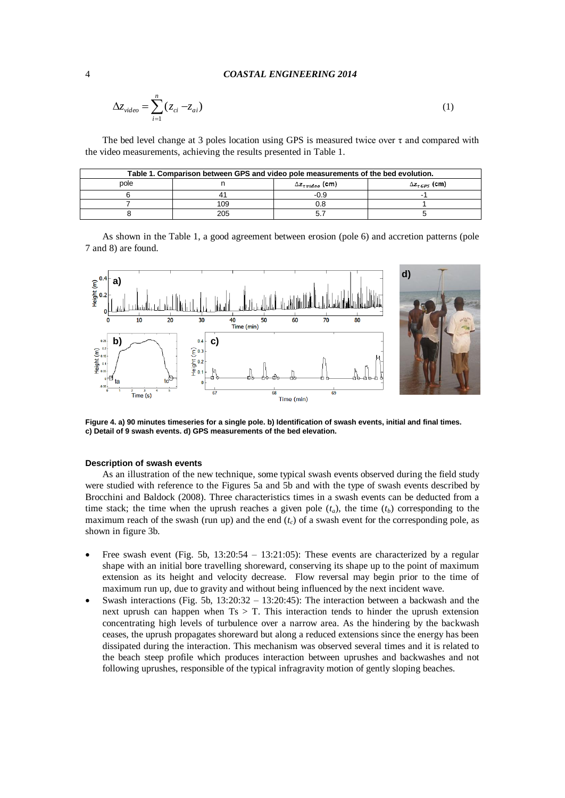$$
\Delta z_{video} = \sum_{i=1}^{n} (z_{ci} - z_{ai})
$$
\n(1)

The bed level change at 3 poles location using GPS is measured twice over  $\tau$  and compared with the video measurements, achieving the results presented in Table 1.

| Table 1. Comparison between GPS and video pole measurements of the bed evolution. |     |                              |                            |
|-----------------------------------------------------------------------------------|-----|------------------------------|----------------------------|
| pole                                                                              |     | $\Delta z_{r \, video}$ (cm) | $\Delta z_{\tau GPS}$ (cm) |
|                                                                                   | 41  | -0.9                         |                            |
|                                                                                   | 109 | 0.8                          |                            |
|                                                                                   | 205 |                              |                            |

As shown in the Table 1, a good agreement between erosion (pole 6) and accretion patterns (pole 7 and 8) are found.



**Figure 4. a) 90 minutes timeseries for a single pole. b) Identification of swash events, initial and final times. c) Detail of 9 swash events. d) GPS measurements of the bed elevation.**

# **Description of swash events**

As an illustration of the new technique, some typical swash events observed during the field study were studied with reference to the Figures 5a and 5b and with the type of swash events described by Brocchini and Baldock (2008). Three characteristics times in a swash events can be deducted from a time stack; the time when the uprush reaches a given pole  $(t_a)$ , the time  $(t_b)$  corresponding to the maximum reach of the swash (run up) and the end  $(t_c)$  of a swash event for the corresponding pole, as shown in figure 3b.

- Free swash event (Fig. 5b,  $13:20:54 13:21:05$ ): These events are characterized by a regular shape with an initial bore travelling shoreward, conserving its shape up to the point of maximum extension as its height and velocity decrease. Flow reversal may begin prior to the time of maximum run up, due to gravity and without being influenced by the next incident wave.
- Swash interactions (Fig. 5b,  $13:20:32 13:20:45$ ): The interaction between a backwash and the next uprush can happen when  $Ts > T$ . This interaction tends to hinder the uprush extension concentrating high levels of turbulence over a narrow area. As the hindering by the backwash ceases, the uprush propagates shoreward but along a reduced extensions since the energy has been dissipated during the interaction. This mechanism was observed several times and it is related to the beach steep profile which produces interaction between uprushes and backwashes and not following uprushes, responsible of the typical infragravity motion of gently sloping beaches.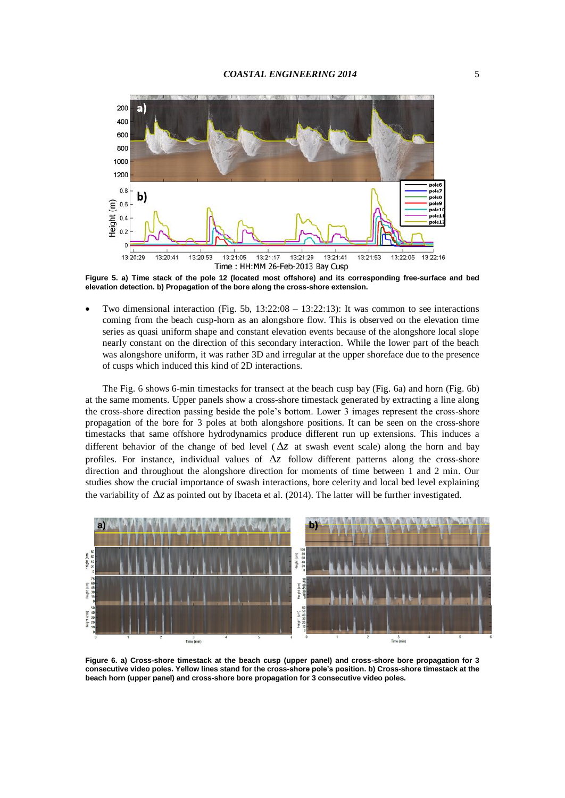

**Figure 5. a) Time stack of the pole 12 (located most offshore) and its corresponding free-surface and bed elevation detection. b) Propagation of the bore along the cross-shore extension.**

 Two dimensional interaction (Fig. 5b, 13:22:08 – 13:22:13): It was common to see interactions coming from the beach cusp-horn as an alongshore flow. This is observed on the elevation time series as quasi uniform shape and constant elevation events because of the alongshore local slope nearly constant on the direction of this secondary interaction. While the lower part of the beach was alongshore uniform, it was rather 3D and irregular at the upper shoreface due to the presence of cusps which induced this kind of 2D interactions.

The Fig. 6 shows 6-min timestacks for transect at the beach cusp bay (Fig. 6a) and horn (Fig. 6b) at the same moments. Upper panels show a cross-shore timestack generated by extracting a line along the cross-shore direction passing beside the pole's bottom. Lower 3 images represent the cross-shore propagation of the bore for 3 poles at both alongshore positions. It can be seen on the cross-shore timestacks that same offshore hydrodynamics produce different run up extensions. This induces a different behavior of the change of bed level ( $\Delta z$  at swash event scale) along the horn and bay profiles. For instance, individual values of  $\Delta z$  follow different patterns along the cross-shore direction and throughout the alongshore direction for moments of time between 1 and 2 min. Our studies show the crucial importance of swash interactions, bore celerity and local bed level explaining the variability of  $\Delta z$  as pointed out by Ibaceta et al. (2014). The latter will be further investigated.



**Figure 6. a) Cross-shore timestack at the beach cusp (upper panel) and cross-shore bore propagation for 3 consecutive video poles. Yellow lines stand for the cross-shore pole's position. b) Cross-shore timestack at the beach horn (upper panel) and cross-shore bore propagation for 3 consecutive video poles.**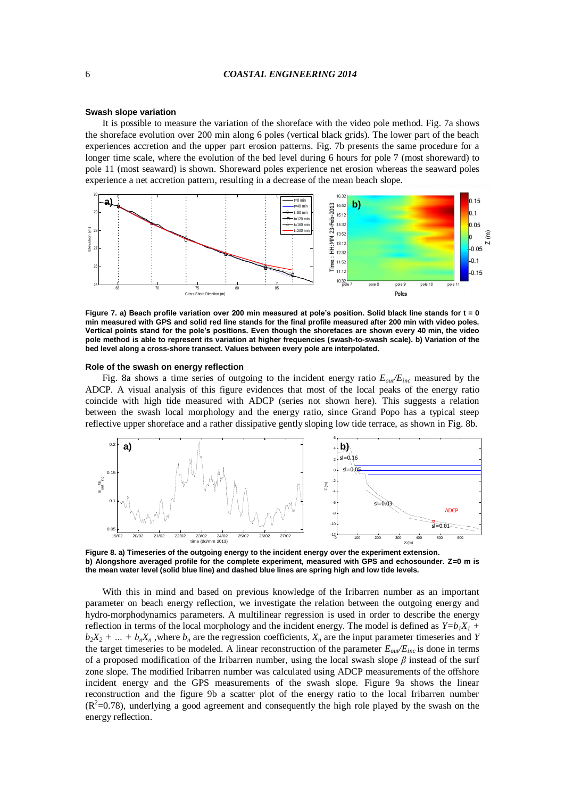#### **Swash slope variation**

It is possible to measure the variation of the shoreface with the video pole method. Fig. 7a shows the shoreface evolution over 200 min along 6 poles (vertical black grids). The lower part of the beach experiences accretion and the upper part erosion patterns. Fig. 7b presents the same procedure for a longer time scale, where the evolution of the bed level during 6 hours for pole 7 (most shoreward) to pole 11 (most seaward) is shown. Shoreward poles experience net erosion whereas the seaward poles experience a net accretion pattern, resulting in a decrease of the mean beach slope.



**Figure 7. a) Beach profile variation over 200 min measured at pole's position. Solid black line stands for t = 0 min measured with GPS and solid red line stands for the final profile measured after 200 min with video poles. Vertical points stand for the pole's positions. Even though the shorefaces are shown every 40 min, the video pole method is able to represent its variation at higher frequencies (swash-to-swash scale). b) Variation of the bed level along a cross-shore transect. Values between every pole are interpolated.** 

### **Role of the swash on energy reflection**

Fig. 8a shows a time series of outgoing to the incident energy ratio *Eout/Einc* measured by the ADCP. A visual analysis of this figure evidences that most of the local peaks of the energy ratio coincide with high tide measured with ADCP (series not shown here). This suggests a relation between the swash local morphology and the energy ratio, since Grand Popo has a typical steep reflective upper shoreface and a rather dissipative gently sloping low tide terrace, as shown in Fig. 8b.



**Figure 8. a) Timeseries of the outgoing energy to the incident energy over the experiment extension. b) Alongshore averaged profile for the complete experiment, measured with GPS and echosounder. Z=0 m is the mean water level (solid blue line) and dashed blue lines are spring high and low tide levels.**

With this in mind and based on previous knowledge of the Iribarren number as an important parameter on beach energy reflection, we investigate the relation between the outgoing energy and hydro-morphodynamics parameters. A multilinear regression is used in order to describe the energy reflection in terms of the local morphology and the incident energy. The model is defined as  $Y=b_1X_1$  +  $b_2X_2 + ... + b_nX_n$ , where  $b_n$  are the regression coefficients,  $X_n$  are the input parameter timeseries and *Y* the target timeseries to be modeled. A linear reconstruction of the parameter  $E_{out}/E_{inc}$  is done in terms of a proposed modification of the Iribarren number, using the local swash slope *β* instead of the surf zone slope. The modified Iribarren number was calculated using ADCP measurements of the offshore incident energy and the GPS measurements of the swash slope. Figure 9a shows the linear reconstruction and the figure 9b a scatter plot of the energy ratio to the local Iribarren number  $(R^2=0.78)$ , underlying a good agreement and consequently the high role played by the swash on the energy reflection.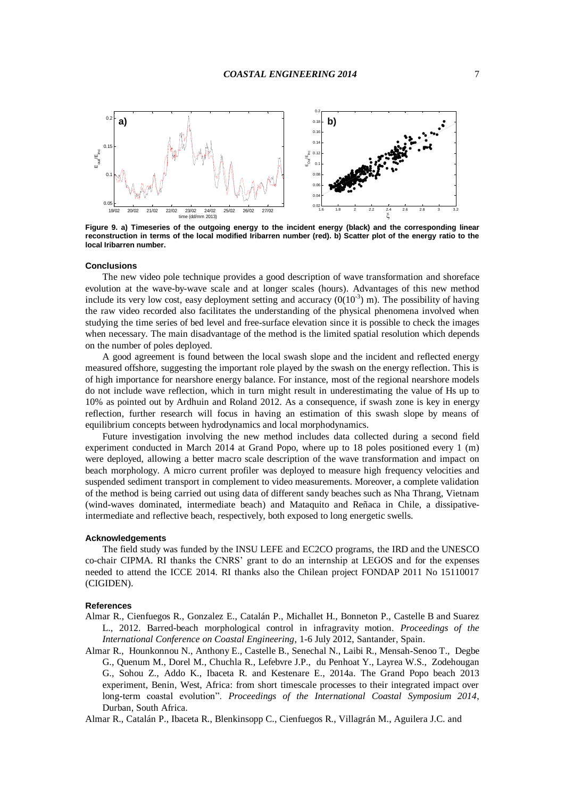

**Figure 9. a) Timeseries of the outgoing energy to the incident energy (black) and the corresponding linear reconstruction in terms of the local modified Iribarren number (red). b) Scatter plot of the energy ratio to the local Iribarren number.**

# **Conclusions**

The new video pole technique provides a good description of wave transformation and shoreface evolution at the wave-by-wave scale and at longer scales (hours). Advantages of this new method include its very low cost, easy deployment setting and accuracy  $(0(10^{-3})$  m). The possibility of having the raw video recorded also facilitates the understanding of the physical phenomena involved when studying the time series of bed level and free-surface elevation since it is possible to check the images when necessary. The main disadvantage of the method is the limited spatial resolution which depends on the number of poles deployed.

A good agreement is found between the local swash slope and the incident and reflected energy measured offshore, suggesting the important role played by the swash on the energy reflection. This is of high importance for nearshore energy balance. For instance, most of the regional nearshore models do not include wave reflection, which in turn might result in underestimating the value of Hs up to 10% as pointed out by Ardhuin and Roland 2012. As a consequence, if swash zone is key in energy reflection, further research will focus in having an estimation of this swash slope by means of equilibrium concepts between hydrodynamics and local morphodynamics.

Future investigation involving the new method includes data collected during a second field experiment conducted in March 2014 at Grand Popo, where up to 18 poles positioned every 1 (m) were deployed, allowing a better macro scale description of the wave transformation and impact on beach morphology. A micro current profiler was deployed to measure high frequency velocities and suspended sediment transport in complement to video measurements. Moreover, a complete validation of the method is being carried out using data of different sandy beaches such as Nha Thrang, Vietnam (wind-waves dominated, intermediate beach) and Mataquito and Reñaca in Chile, a dissipativeintermediate and reflective beach, respectively, both exposed to long energetic swells.

### **Acknowledgements**

The field study was funded by the INSU LEFE and EC2CO programs, the IRD and the UNESCO co-chair CIPMA. RI thanks the CNRS' grant to do an internship at LEGOS and for the expenses needed to attend the ICCE 2014. RI thanks also the Chilean project FONDAP 2011 No 15110017 (CIGIDEN).

# **References**

- Almar R., Cienfuegos R., Gonzalez E., Catalán P., Michallet H., Bonneton P., Castelle B and Suarez L., 2012. Barred-beach morphological control in infragravity motion. *Proceedings of the International Conference on Coastal Engineering*, 1-6 July 2012, Santander, Spain.
- Almar R., Hounkonnou N., Anthony E., Castelle B., Senechal N., Laibi R., Mensah-Senoo T., Degbe G., Quenum M., Dorel M., Chuchla R., Lefebvre J.P., du Penhoat Y., Layrea W.S., Zodehougan G., Sohou Z., Addo K., Ibaceta R. and Kestenare E., 2014a. The Grand Popo beach 2013 experiment, Benin, West, Africa: from short timescale processes to their integrated impact over long-term coastal evolution". *Proceedings of the International Coastal Symposium 2014*, Durban, South Africa.

Almar R., Catalán P., Ibaceta R., Blenkinsopp C., Cienfuegos R., Villagrán M., Aguilera J.C. and